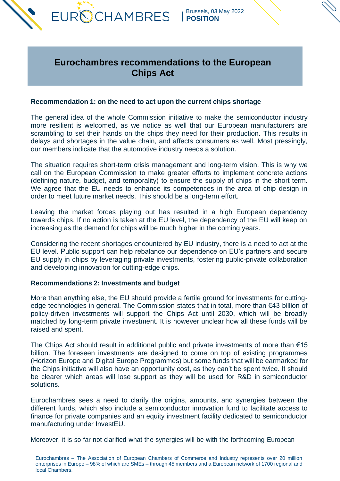

# **Eurochambres recommendations to the European Chips Act**

## **Recommendation 1: on the need to act upon the current chips shortage**

The general idea of the whole Commission initiative to make the semiconductor industry more resilient is welcomed, as we notice as well that our European manufacturers are scrambling to set their hands on the chips they need for their production. This results in delays and shortages in the value chain, and affects consumers as well. Most pressingly, our members indicate that the automotive industry needs a solution.

The situation requires short-term crisis management and long-term vision. This is why we call on the European Commission to make greater efforts to implement concrete actions (defining nature, budget, and temporality) to ensure the supply of chips in the short term. We agree that the EU needs to enhance its competences in the area of chip design in order to meet future market needs. This should be a long-term effort.

Leaving the market forces playing out has resulted in a high European dependency towards chips. If no action is taken at the EU level, the dependency of the EU will keep on increasing as the demand for chips will be much higher in the coming years.

Considering the recent shortages encountered by EU industry, there is a need to act at the EU level. Public support can help rebalance our dependence on EU's partners and secure EU supply in chips by leveraging private investments, fostering public-private collaboration and developing innovation for cutting-edge chips.

### **Recommendations 2: Investments and budget**

More than anything else, the EU should provide a fertile ground for investments for cuttingedge technologies in general. The Commission states that in total, more than €43 billion of policy-driven investments will support the Chips Act until 2030, which will be broadly matched by long-term private investment. It is however unclear how all these funds will be raised and spent.

The Chips Act should result in additional public and private investments of more than  $€15$ billion. The foreseen investments are designed to come on top of existing programmes (Horizon Europe and Digital Europe Programmes) but some funds that will be earmarked for the Chips initiative will also have an opportunity cost, as they can't be spent twice. It should be clearer which areas will lose support as they will be used for R&D in semiconductor solutions.

Eurochambres sees a need to clarify the origins, amounts, and synergies between the different funds, which also include a semiconductor innovation fund to facilitate access to finance for private companies and an equity investment facility dedicated to semiconductor manufacturing under InvestEU.

Moreover, it is so far not clarified what the synergies will be with the forthcoming European

Eurochambres – The Association of European Chambers of Commerce and Industry represents over 20 million enterprises in Europe – 98% of which are SMEs – through 45 members and a European network of 1700 regional and local Chambers.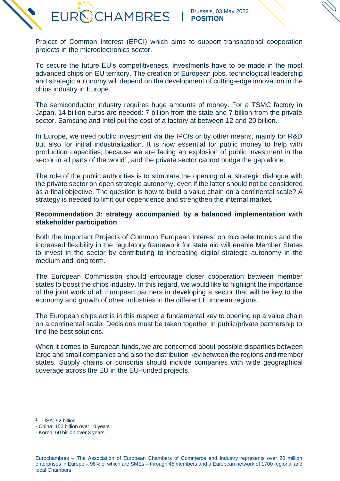Project of Common Interest (EPCI) which aims to support transnational cooperation projects in the microelectronics sector.

**EUROCHAMBRES** 

To secure the future EU's competitiveness, investments have to be made in the most advanced chips on EU territory. The creation of European jobs, technological leadership and strategic autonomy will depend on the development of cutting-edge innovation in the chips industry in Europe.

The semiconductor industry requires huge amounts of money. For a TSMC factory in Japan, 14 billion euros are needed: 7 billion from the state and 7 billion from the private sector. Samsung and Intel put the cost of a factory at between 12 and 20 billion.

In Europe, we need public investment via the IPCIs or by other means, mainly for R&D but also for initial industrialization. It is now essential for public money to help with production capacities, because we are facing an explosion of public investment in the sector in all parts of the world<sup>1</sup>, and the private sector cannot bridge the gap alone.

The role of the public authorities is to stimulate the opening of a strategic dialogue with the private sector on open strategic autonomy, even if the latter should not be considered as a final objective. The question is how to build a value chain on a continental scale? A strategy is needed to limit our dependence and strengthen the internal market.

### **Recommendation 3: strategy accompanied by a balanced implementation with stakeholder participation**

Both the Important Projects of Common European Interest on microelectronics and the increased flexibility in the regulatory framework for state aid will enable Member States to invest in the sector by contributing to increasing digital strategic autonomy in the medium and long term.

The European Commission should encourage closer cooperation between member states to boost the chips industry. In this regard, we would like to highlight the importance of the joint work of all European partners in developing a sector that will be key to the economy and growth of other industries in the different European regions.

The European chips act is in this respect a fundamental key to opening up a value chain on a continental scale. Decisions must be taken together in public/private partnership to find the best solutions.

When it comes to European funds, we are concerned about possible disparities between large and small companies and also the distribution key between the regions and member states. Supply chains or consortia should include companies with wide geographical coverage across the EU in the EU-funded projects.

<sup>1</sup> - USA: 52 billion

*<sup>-</sup>* China: 152 billion over 10 years

*<sup>-</sup>* Korea: 60 billion over 3 years.

Eurochambres – The Association of European Chambers of Commerce and Industry represents over 20 million enterprises in Europe – 98% of which are SMEs – through 45 members and a European network of 1700 regional and local Chambers.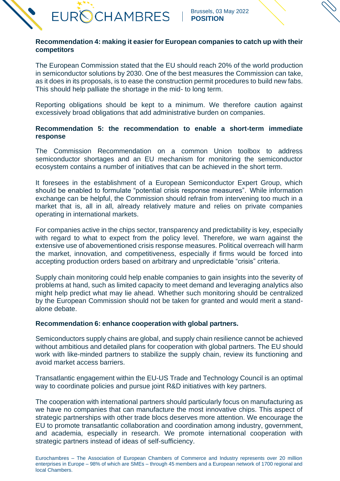

# **Recommendation 4: making it easier for European companies to catch up with their competitors**

The European Commission stated that the EU should reach 20% of the world production in semiconductor solutions by 2030. One of the best measures the Commission can take, as it does in its proposals, is to ease the construction permit procedures to build new fabs. This should help palliate the shortage in the mid- to long term.

Reporting obligations should be kept to a minimum. We therefore caution against excessively broad obligations that add administrative burden on companies.

# **Recommendation 5: the recommendation to enable a short-term immediate response**

The Commission Recommendation on a common Union toolbox to address semiconductor shortages and an EU mechanism for monitoring the semiconductor ecosystem contains a number of initiatives that can be achieved in the short term.

It foresees in the establishment of a European Semiconductor Expert Group, which should be enabled to formulate "potential crisis response measures". While information exchange can be helpful, the Commission should refrain from intervening too much in a market that is, all in all, already relatively mature and relies on private companies operating in international markets.

For companies active in the chips sector, transparency and predictability is key, especially with regard to what to expect from the policy level. Therefore, we warn against the extensive use of abovementioned crisis response measures. Political overreach will harm the market, innovation, and competitiveness, especially if firms would be forced into accepting production orders based on arbitrary and unpredictable "crisis" criteria.

Supply chain monitoring could help enable companies to gain insights into the severity of problems at hand, such as limited capacity to meet demand and leveraging analytics also might help predict what may lie ahead. Whether such monitoring should be centralized by the European Commission should not be taken for granted and would merit a standalone debate.

## **Recommendation 6: enhance cooperation with global partners.**

Semiconductors supply chains are global, and supply chain resilience cannot be achieved without ambitious and detailed plans for cooperation with global partners. The EU should work with like-minded partners to stabilize the supply chain, review its functioning and avoid market access barriers.

Transatlantic engagement within the EU-US Trade and Technology Council is an optimal way to coordinate policies and pursue joint R&D initiatives with key partners.

The cooperation with international partners should particularly focus on manufacturing as we have no companies that can manufacture the most innovative chips. This aspect of strategic partnerships with other trade blocs deserves more attention. We encourage the EU to promote transatlantic collaboration and coordination among industry, government, and academia, especially in research. We promote international cooperation with strategic partners instead of ideas of self-sufficiency.